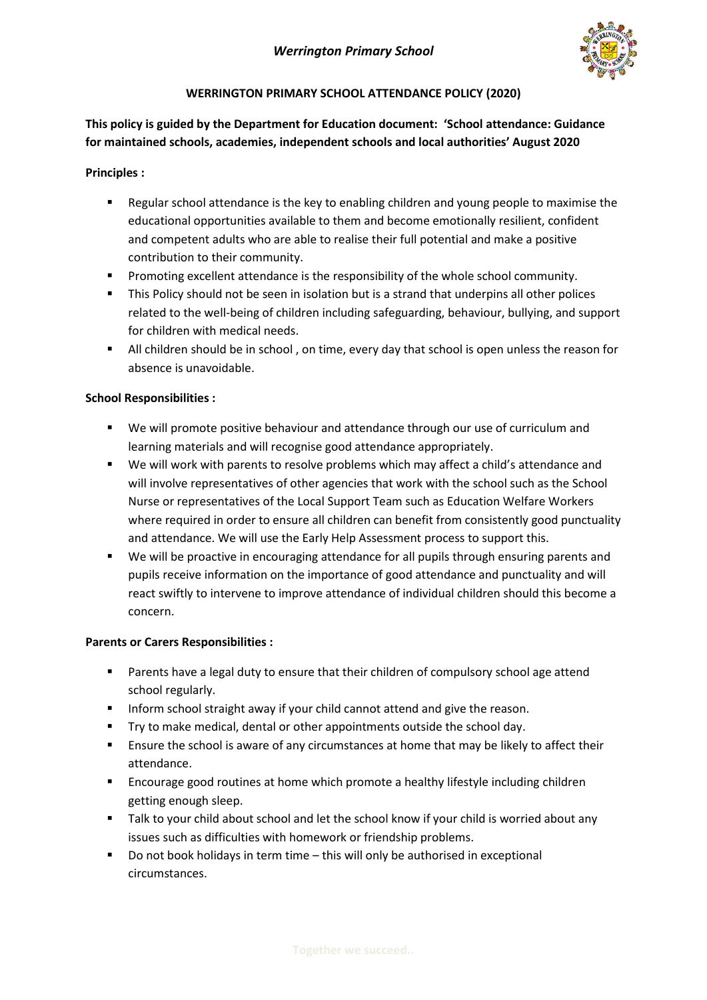

#### **WERRINGTON PRIMARY SCHOOL ATTENDANCE POLICY (2020)**

### **This policy is guided by the Department for Education document: 'School attendance: Guidance for maintained schools, academies, independent schools and local authorities' August 2020**

#### **Principles :**

- Regular school attendance is the key to enabling children and young people to maximise the educational opportunities available to them and become emotionally resilient, confident and competent adults who are able to realise their full potential and make a positive contribution to their community.
- Promoting excellent attendance is the responsibility of the whole school community.
- **This Policy should not be seen in isolation but is a strand that underpins all other polices** related to the well-being of children including safeguarding, behaviour, bullying, and support for children with medical needs.
- All children should be in school , on time, every day that school is open unless the reason for absence is unavoidable.

#### **School Responsibilities :**

- We will promote positive behaviour and attendance through our use of curriculum and learning materials and will recognise good attendance appropriately.
- We will work with parents to resolve problems which may affect a child's attendance and will involve representatives of other agencies that work with the school such as the School Nurse or representatives of the Local Support Team such as Education Welfare Workers where required in order to ensure all children can benefit from consistently good punctuality and attendance. We will use the Early Help Assessment process to support this.
- We will be proactive in encouraging attendance for all pupils through ensuring parents and pupils receive information on the importance of good attendance and punctuality and will react swiftly to intervene to improve attendance of individual children should this become a concern.

#### **Parents or Carers Responsibilities :**

- Parents have a legal duty to ensure that their children of compulsory school age attend school regularly.
- Inform school straight away if your child cannot attend and give the reason.
- Try to make medical, dental or other appointments outside the school day.
- **E** Ensure the school is aware of any circumstances at home that may be likely to affect their attendance.
- Encourage good routines at home which promote a healthy lifestyle including children getting enough sleep.
- Talk to your child about school and let the school know if your child is worried about any issues such as difficulties with homework or friendship problems.
- Do not book holidays in term time this will only be authorised in exceptional circumstances.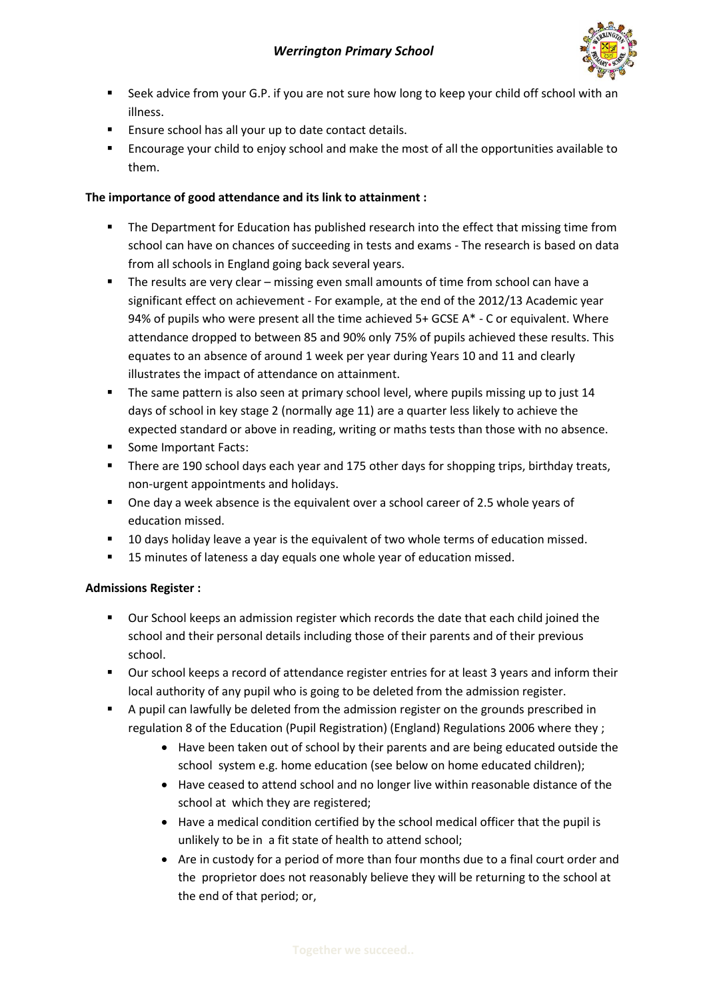

- **EXECT:** Seek advice from your G.P. if you are not sure how long to keep your child off school with an illness.
- **Ensure school has all your up to date contact details.**
- **EXECOUT ENCOURDER** FIRCOURDED FIRCOURDED IN EXAMPLE to Encourage your child to Encourage your child to them.

#### **The importance of good attendance and its link to attainment :**

- **The Department for Education has published research into the effect that missing time from** school can have on chances of succeeding in tests and exams - The research is based on data from all schools in England going back several years.
- The results are very clear missing even small amounts of time from school can have a significant effect on achievement - For example, at the end of the 2012/13 Academic year 94% of pupils who were present all the time achieved  $5+$  GCSE A $*$  - C or equivalent. Where attendance dropped to between 85 and 90% only 75% of pupils achieved these results. This equates to an absence of around 1 week per year during Years 10 and 11 and clearly illustrates the impact of attendance on attainment.
- **The same pattern is also seen at primary school level, where pupils missing up to just 14** days of school in key stage 2 (normally age 11) are a quarter less likely to achieve the expected standard or above in reading, writing or maths tests than those with no absence.
- Some Important Facts:
- **There are 190 school days each year and 175 other days for shopping trips, birthday treats,** non-urgent appointments and holidays.
- One day a week absence is the equivalent over a school career of 2.5 whole years of education missed.
- **10 days holiday leave a year is the equivalent of two whole terms of education missed.**
- 15 minutes of lateness a day equals one whole year of education missed.

#### **Admissions Register :**

- Our School keeps an admission register which records the date that each child joined the school and their personal details including those of their parents and of their previous school.
- Our school keeps a record of attendance register entries for at least 3 years and inform their local authority of any pupil who is going to be deleted from the admission register.
- A pupil can lawfully be deleted from the admission register on the grounds prescribed in regulation 8 of the Education (Pupil Registration) (England) Regulations 2006 where they ;
	- Have been taken out of school by their parents and are being educated outside the school system e.g. home education (see below on home educated children);
	- Have ceased to attend school and no longer live within reasonable distance of the school at which they are registered;
	- Have a medical condition certified by the school medical officer that the pupil is unlikely to be in a fit state of health to attend school;
	- Are in custody for a period of more than four months due to a final court order and the proprietor does not reasonably believe they will be returning to the school at the end of that period; or,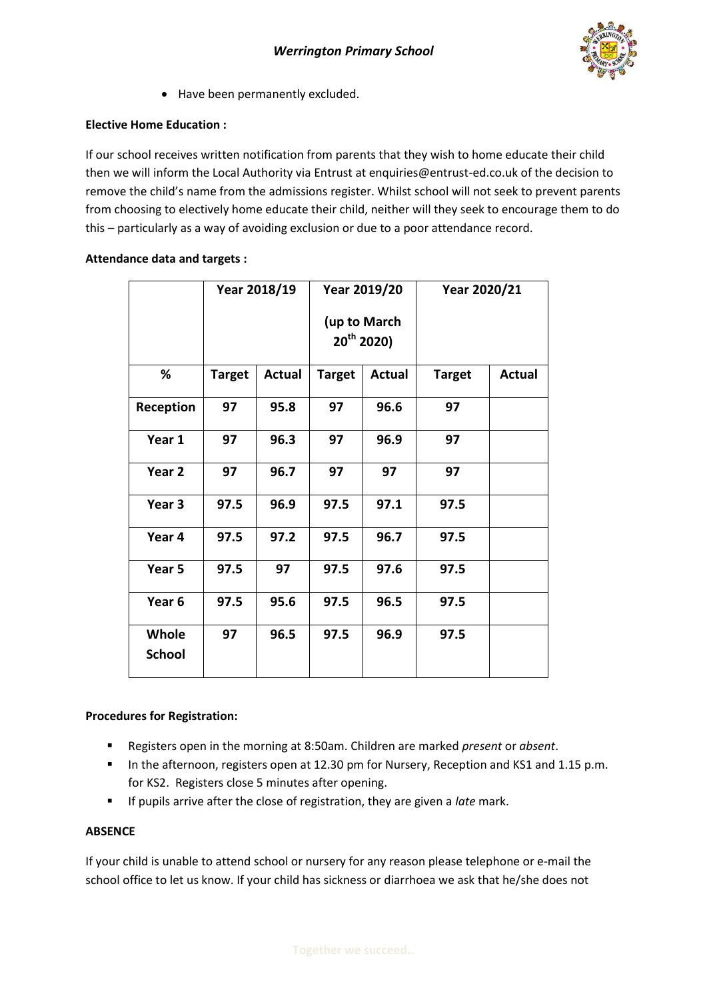

Have been permanently excluded.

#### **Elective Home Education :**

If our school receives written notification from parents that they wish to home educate their child then we will inform the Local Authority via Entrust at enquiries@entrust-ed.co.uk of the decision to remove the child's name from the admissions register. Whilst school will not seek to prevent parents from choosing to electively home educate their child, neither will they seek to encourage them to do this – particularly as a way of avoiding exclusion or due to a poor attendance record.

#### **Attendance data and targets :**

|                               | Year 2018/19  |               | Year 2019/20                    |               | Year 2020/21  |               |
|-------------------------------|---------------|---------------|---------------------------------|---------------|---------------|---------------|
|                               |               |               | (up to March<br>$20^{th}$ 2020) |               |               |               |
| %                             | <b>Target</b> | <b>Actual</b> | <b>Target</b>                   | <b>Actual</b> | <b>Target</b> | <b>Actual</b> |
| Reception                     | 97            | 95.8          | 97                              | 96.6          | 97            |               |
| Year 1                        | 97            | 96.3          | 97                              | 96.9          | 97            |               |
| Year <sub>2</sub>             | 97            | 96.7          | 97                              | 97            | 97            |               |
| Year 3                        | 97.5          | 96.9          | 97.5                            | 97.1          | 97.5          |               |
| Year 4                        | 97.5          | 97.2          | 97.5                            | 96.7          | 97.5          |               |
| Year 5                        | 97.5          | 97            | 97.5                            | 97.6          | 97.5          |               |
| Year <sub>6</sub>             | 97.5          | 95.6          | 97.5                            | 96.5          | 97.5          |               |
| <b>Whole</b><br><b>School</b> | 97            | 96.5          | 97.5                            | 96.9          | 97.5          |               |

#### **Procedures for Registration:**

- Registers open in the morning at 8:50am. Children are marked *present* or *absent*.
- In the afternoon, registers open at 12.30 pm for Nursery, Reception and KS1 and 1.15 p.m. for KS2. Registers close 5 minutes after opening.
- If pupils arrive after the close of registration, they are given a *late* mark.

#### **ABSENCE**

If your child is unable to attend school or nursery for any reason please telephone or e-mail the school office to let us know. If your child has sickness or diarrhoea we ask that he/she does not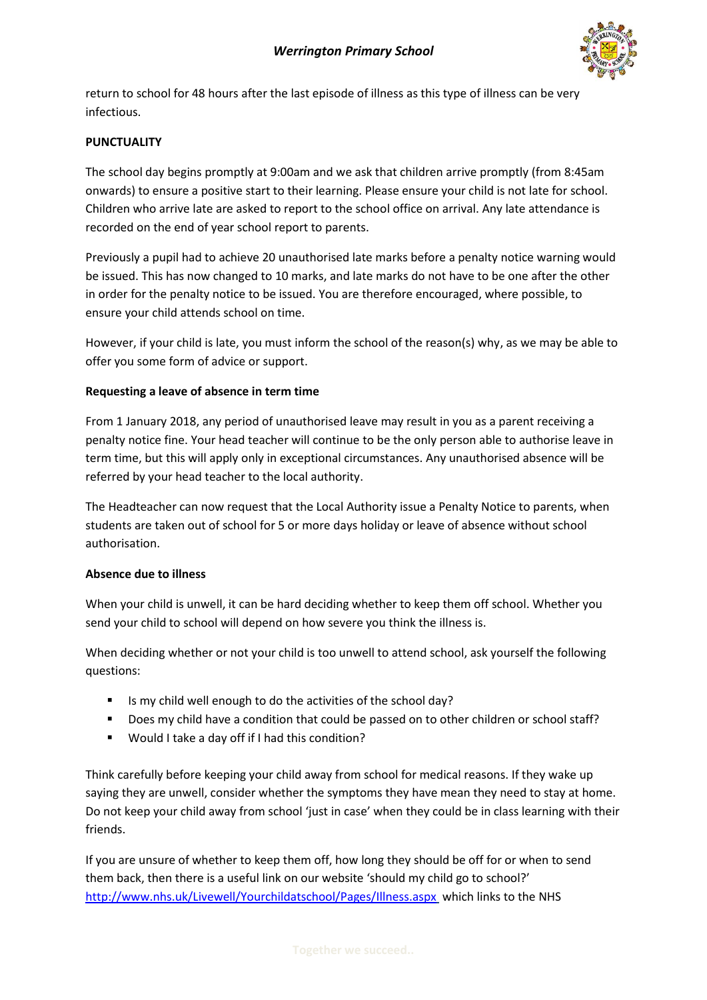

return to school for 48 hours after the last episode of illness as this type of illness can be very infectious.

#### **PUNCTUALITY**

The school day begins promptly at 9:00am and we ask that children arrive promptly (from 8:45am onwards) to ensure a positive start to their learning. Please ensure your child is not late for school. Children who arrive late are asked to report to the school office on arrival. Any late attendance is recorded on the end of year school report to parents.

Previously a pupil had to achieve 20 unauthorised late marks before a penalty notice warning would be issued. This has now changed to 10 marks, and late marks do not have to be one after the other in order for the penalty notice to be issued. You are therefore encouraged, where possible, to ensure your child attends school on time.

However, if your child is late, you must inform the school of the reason(s) why, as we may be able to offer you some form of advice or support.

#### **Requesting a leave of absence in term time**

From 1 January 2018, any period of unauthorised leave may result in you as a parent receiving a penalty notice fine. Your head teacher will continue to be the only person able to authorise leave in term time, but this will apply only in exceptional circumstances. Any unauthorised absence will be referred by your head teacher to the local authority.

The Headteacher can now request that the Local Authority issue a Penalty Notice to parents, when students are taken out of school for 5 or more days holiday or leave of absence without school authorisation.

#### **Absence due to illness**

When your child is unwell, it can be hard deciding whether to keep them off school. Whether you send your child to school will depend on how severe you think the illness is.

When deciding whether or not your child is too unwell to attend school, ask yourself the following questions:

- If Is my child well enough to do the activities of the school day?
- Does my child have a condition that could be passed on to other children or school staff?
- Would I take a day off if I had this condition?

Think carefully before keeping your child away from school for medical reasons. If they wake up saying they are unwell, consider whether the symptoms they have mean they need to stay at home. Do not keep your child away from school 'just in case' when they could be in class learning with their friends.

If you are unsure of whether to keep them off, how long they should be off for or when to send them back, then there is a useful link on our website 'should my child go to school?' <http://www.nhs.uk/Livewell/Yourchildatschool/Pages/Illness.aspx> which links to the NHS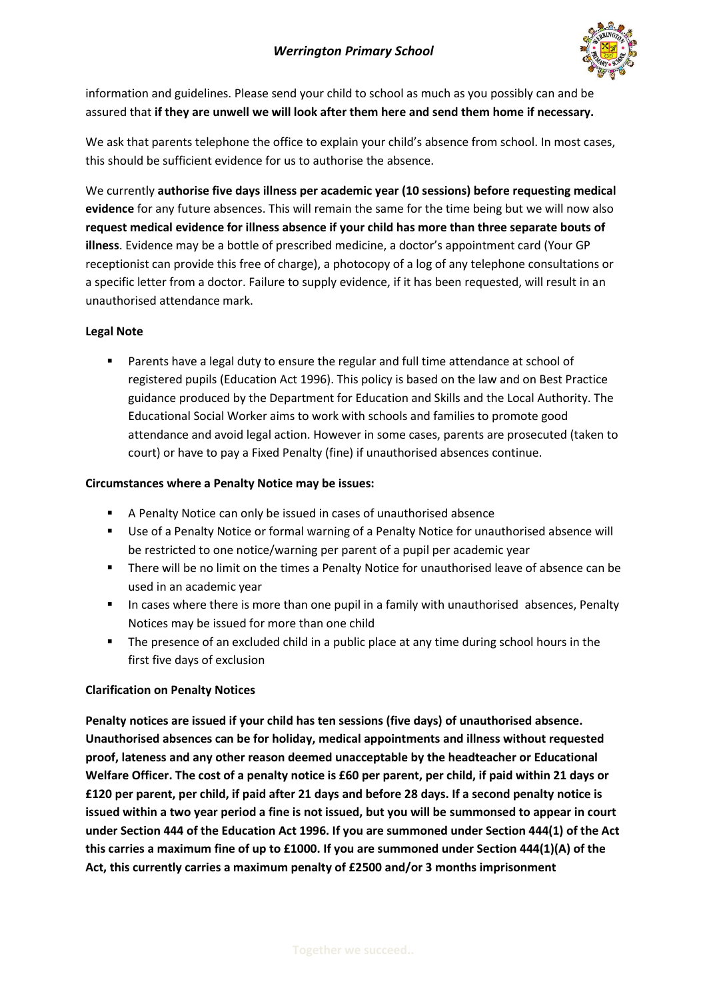

information and guidelines. Please send your child to school as much as you possibly can and be assured that **if they are unwell we will look after them here and send them home if necessary.**

We ask that parents telephone the office to explain your child's absence from school. In most cases, this should be sufficient evidence for us to authorise the absence.

We currently **authorise five days illness per academic year (10 sessions) before requesting medical evidence** for any future absences. This will remain the same for the time being but we will now also **request medical evidence for illness absence if your child has more than three separate bouts of illness**. Evidence may be a bottle of prescribed medicine, a doctor's appointment card (Your GP receptionist can provide this free of charge), a photocopy of a log of any telephone consultations or a specific letter from a doctor. Failure to supply evidence, if it has been requested, will result in an unauthorised attendance mark.

#### **Legal Note**

 Parents have a legal duty to ensure the regular and full time attendance at school of registered pupils (Education Act 1996). This policy is based on the law and on Best Practice guidance produced by the Department for Education and Skills and the Local Authority. The Educational Social Worker aims to work with schools and families to promote good attendance and avoid legal action. However in some cases, parents are prosecuted (taken to court) or have to pay a Fixed Penalty (fine) if unauthorised absences continue.

#### **Circumstances where a Penalty Notice may be issues:**

- A Penalty Notice can only be issued in cases of unauthorised absence
- Use of a Penalty Notice or formal warning of a Penalty Notice for unauthorised absence will be restricted to one notice/warning per parent of a pupil per academic year
- **There will be no limit on the times a Penalty Notice for unauthorised leave of absence can be** used in an academic year
- In cases where there is more than one pupil in a family with unauthorised absences, Penalty Notices may be issued for more than one child
- The presence of an excluded child in a public place at any time during school hours in the first five days of exclusion

#### **Clarification on Penalty Notices**

**Penalty notices are issued if your child has ten sessions (five days) of unauthorised absence. Unauthorised absences can be for holiday, medical appointments and illness without requested proof, lateness and any other reason deemed unacceptable by the headteacher or Educational Welfare Officer. The cost of a penalty notice is £60 per parent, per child, if paid within 21 days or £120 per parent, per child, if paid after 21 days and before 28 days. If a second penalty notice is issued within a two year period a fine is not issued, but you will be summonsed to appear in court under Section 444 of the Education Act 1996. If you are summoned under Section 444(1) of the Act this carries a maximum fine of up to £1000. If you are summoned under Section 444(1)(A) of the Act, this currently carries a maximum penalty of £2500 and/or 3 months imprisonment**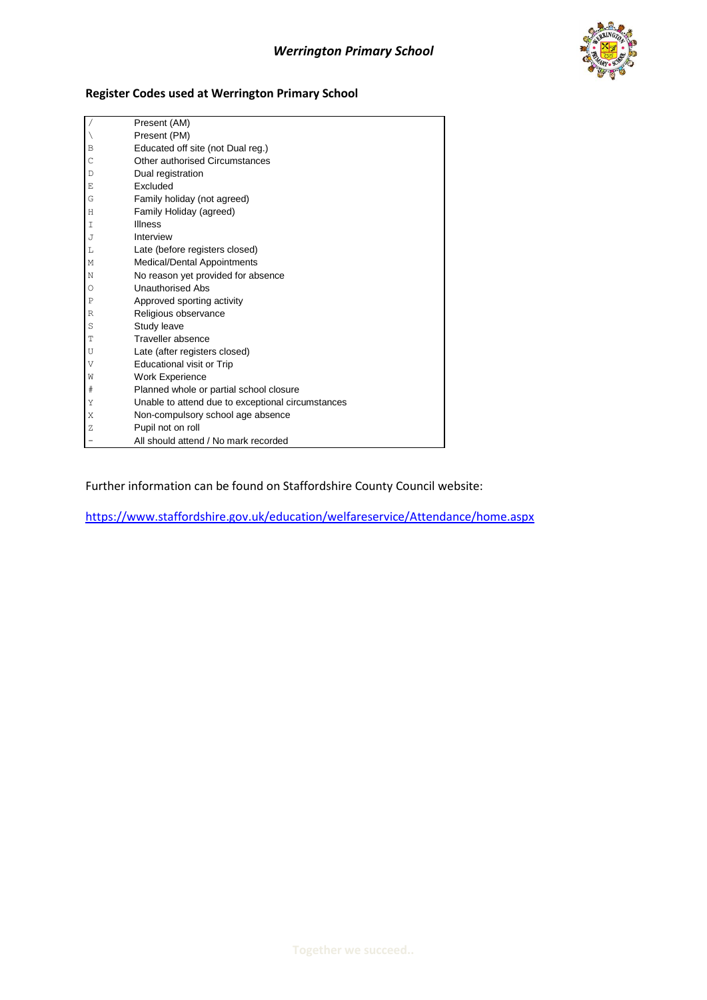

#### **Register Codes used at Werrington Primary School**

|       | Present (AM)                                      |
|-------|---------------------------------------------------|
|       | Present (PM)                                      |
| В     | Educated off site (not Dual reg.)                 |
| C     | Other authorised Circumstances                    |
| D     | Dual registration                                 |
| Ε     | Excluded                                          |
| G     | Family holiday (not agreed)                       |
| Η     | Family Holiday (agreed)                           |
| Ι     | <b>Illness</b>                                    |
| J     | Interview                                         |
| L     | Late (before registers closed)                    |
| М     | Medical/Dental Appointments                       |
| N     | No reason yet provided for absence                |
| О     | <b>Unauthorised Abs</b>                           |
| Ρ     | Approved sporting activity                        |
| R     | Religious observance                              |
| S     | Study leave                                       |
| Т     | Traveller absence                                 |
| U     | Late (after registers closed)                     |
| V     | <b>Educational visit or Trip</b>                  |
| W     | Work Experience                                   |
| $^\#$ | Planned whole or partial school closure           |
| Υ     | Unable to attend due to exceptional circumstances |
| Χ     | Non-compulsory school age absence                 |
| Ζ     | Pupil not on roll                                 |
| -     | All should attend / No mark recorded              |

Further information can be found on Staffordshire County Council website:

<https://www.staffordshire.gov.uk/education/welfareservice/Attendance/home.aspx>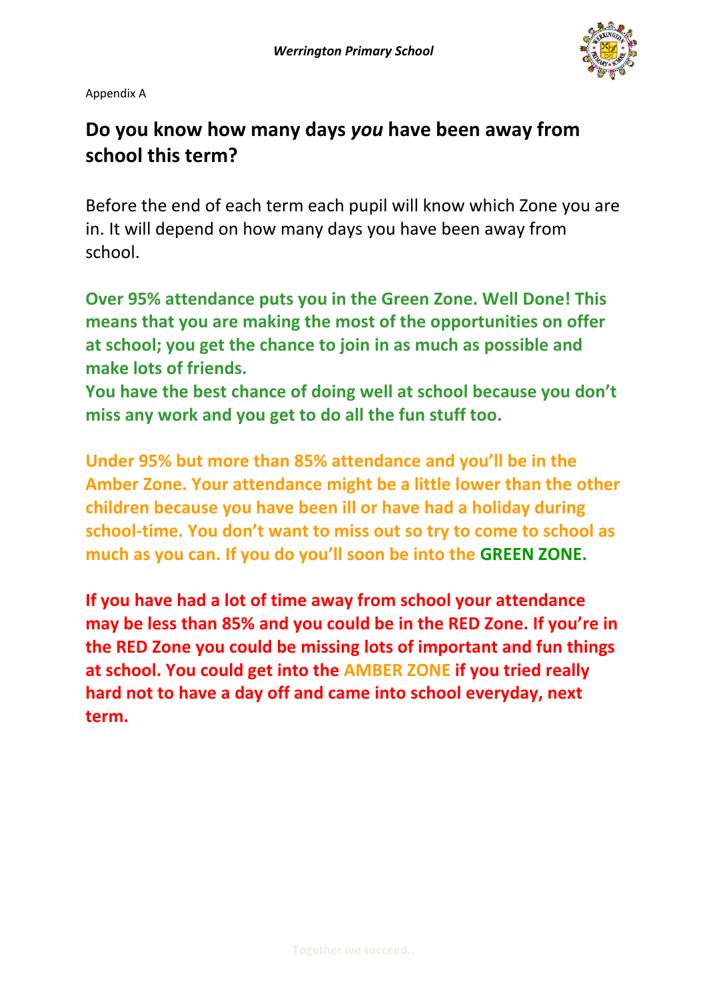

Appendix A

# **Do you know how many days** *you* **have been away from school this term?**

Before the end of each term each pupil will know which Zone you are in. It will depend on how many days you have been away from school.

**Over 95% attendance puts you in the Green Zone. Well Done! This means that you are making the most of the opportunities on offer at school; you get the chance to join in as much as possible and make lots of friends.**

**You have the best chance of doing well at school because you don't miss any work and you get to do all the fun stuff too.**

**Under 95% but more than 85% attendance and you'll be in the Amber Zone. Your attendance might be a little lower than the other children because you have been ill or have had a holiday during school-time. You don't want to miss out so try to come to school as much as you can. If you do you'll soon be into the GREEN ZONE.**

**If you have had a lot of time away from school your attendance may be less than 85% and you could be in the RED Zone. If you're in the RED Zone you could be missing lots of important and fun things at school. You could get into the AMBER ZONE if you tried really hard not to have a day off and came into school everyday, next term.**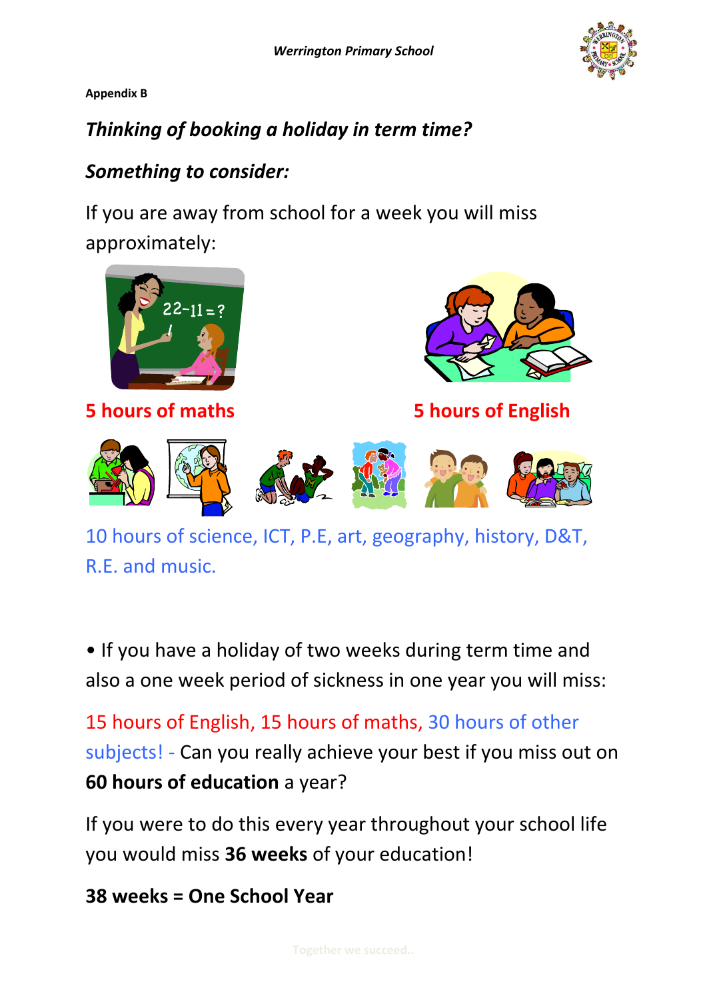**Appendix B**

# *Thinking of booking a holiday in term time?*

## *Something to consider:*

If you are away from school for a week you will miss approximately:



10 hours of science, ICT, P.E, art, geography, history, D&T, R.E. and music.

• If you have a holiday of two weeks during term time and also a one week period of sickness in one year you will miss:

15 hours of English, 15 hours of maths, 30 hours of other subjects! - Can you really achieve your best if you miss out on **60 hours of education** a year?

If you were to do this every year throughout your school life you would miss **36 weeks** of your education!

**38 weeks = One School Year**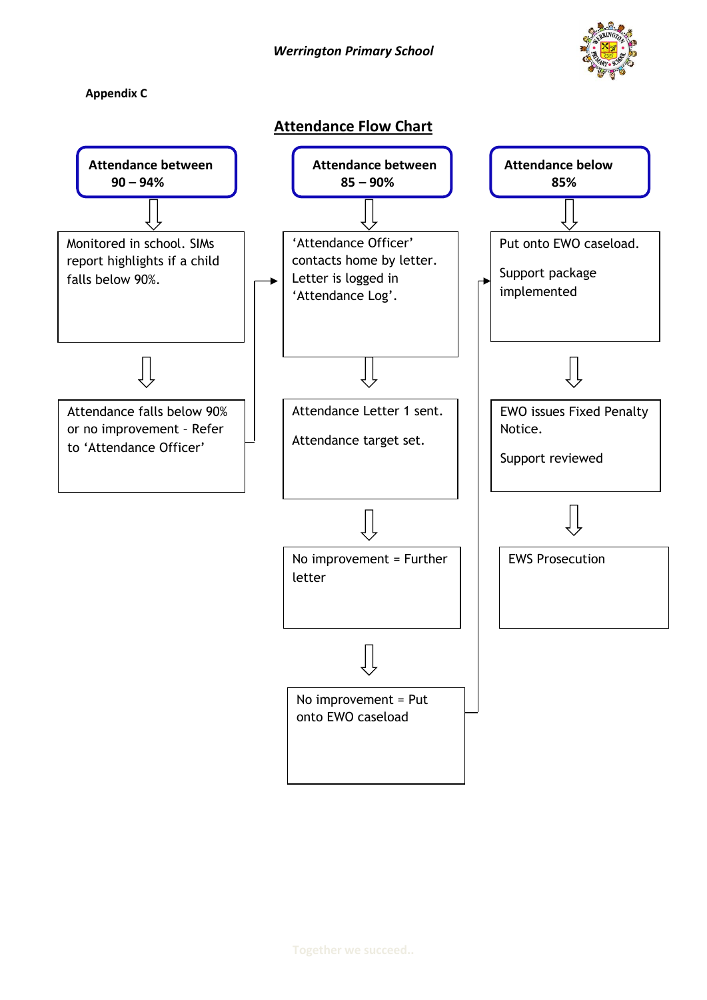*Werrington Primary School*

**Appendix C**



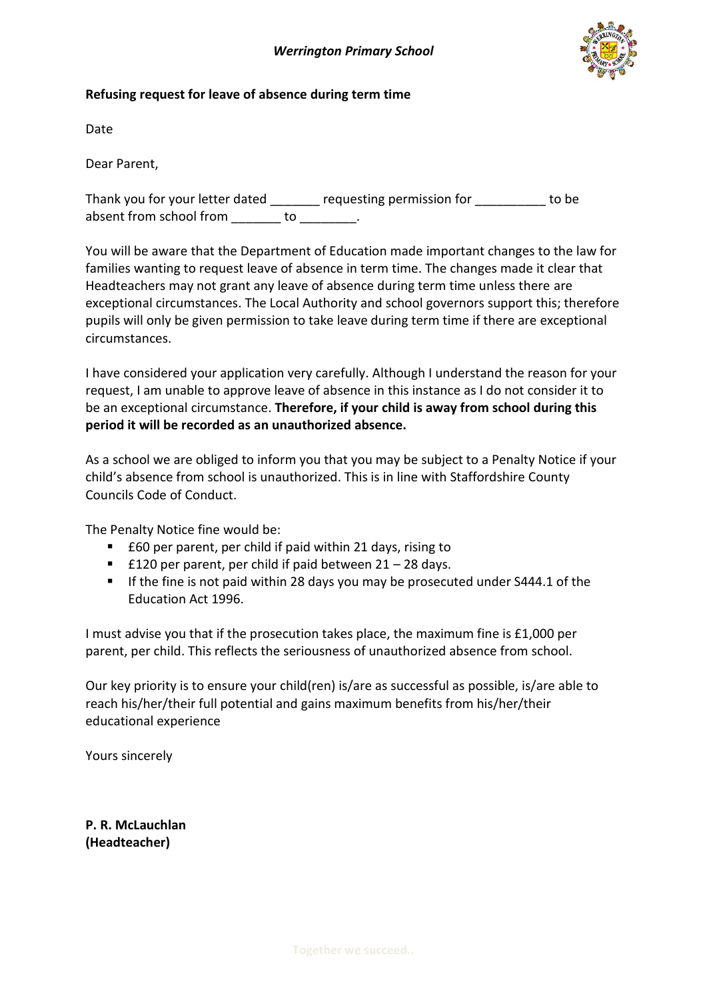

#### **Refusing request for leave of absence during term time**

Date

Dear Parent,

Thank you for your letter dated equesting permission for to be absent from school from do to to the school from the state of the state of the state of the state of the state

You will be aware that the Department of Education made important changes to the law for families wanting to request leave of absence in term time. The changes made it clear that Headteachers may not grant any leave of absence during term time unless there are exceptional circumstances. The Local Authority and school governors support this; therefore pupils will only be given permission to take leave during term time if there are exceptional circumstances.

I have considered your application very carefully. Although I understand the reason for your request, I am unable to approve leave of absence in this instance as I do not consider it to be an exceptional circumstance. **Therefore, if your child is away from school during this period it will be recorded as an unauthorized absence.**

As a school we are obliged to inform you that you may be subject to a Penalty Notice if your child's absence from school is unauthorized. This is in line with Staffordshire County Councils Code of Conduct.

The Penalty Notice fine would be:

- £60 per parent, per child if paid within 21 days, rising to
- £120 per parent, per child if paid between  $21 28$  days.
- If the fine is not paid within 28 days you may be prosecuted under  $S444.1$  of the Education Act 1996.

I must advise you that if the prosecution takes place, the maximum fine is £1,000 per parent, per child. This reflects the seriousness of unauthorized absence from school.

Our key priority is to ensure your child(ren) is/are as successful as possible, is/are able to reach his/her/their full potential and gains maximum benefits from his/her/their educational experience

Yours sincerely

**P. R. McLauchlan (Headteacher)**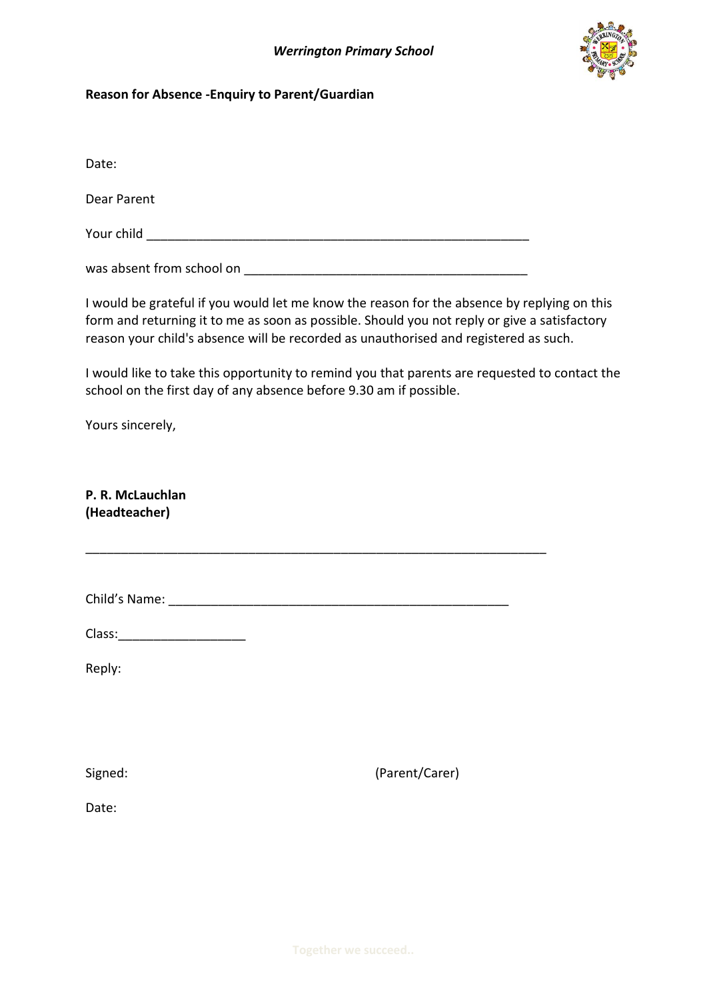

#### **Reason for Absence -Enquiry to Parent/Guardian**

Date:

Dear Parent

Your child \_\_\_\_\_\_\_\_\_\_\_\_\_\_\_\_\_\_\_\_\_\_\_\_\_\_\_\_\_\_\_\_\_\_\_\_\_\_\_\_\_\_\_\_\_\_\_\_\_\_\_\_\_\_

was absent from school on \_\_\_\_\_\_\_\_\_\_\_\_\_\_\_\_\_\_\_\_\_\_\_\_\_\_\_\_\_\_\_\_\_\_\_\_\_\_\_\_

I would be grateful if you would let me know the reason for the absence by replying on this form and returning it to me as soon as possible. Should you not reply or give a satisfactory reason your child's absence will be recorded as unauthorised and registered as such.

I would like to take this opportunity to remind you that parents are requested to contact the school on the first day of any absence before 9.30 am if possible.

Yours sincerely,

**P. R. McLauchlan (Headteacher)**

Child's Name: \_\_\_\_\_\_\_\_\_\_\_\_\_\_\_\_\_\_\_\_\_\_\_\_\_\_\_\_\_\_\_\_\_\_\_\_\_\_\_\_\_\_\_\_\_\_\_\_

\_\_\_\_\_\_\_\_\_\_\_\_\_\_\_\_\_\_\_\_\_\_\_\_\_\_\_\_\_\_\_\_\_\_\_\_\_\_\_\_\_\_\_\_\_\_\_\_\_\_\_\_\_\_\_\_\_\_\_\_\_\_\_\_\_

Class:\_\_\_\_\_\_\_\_\_\_\_\_\_\_\_\_\_\_

Reply:

Signed: (Parent/Carer)

Date: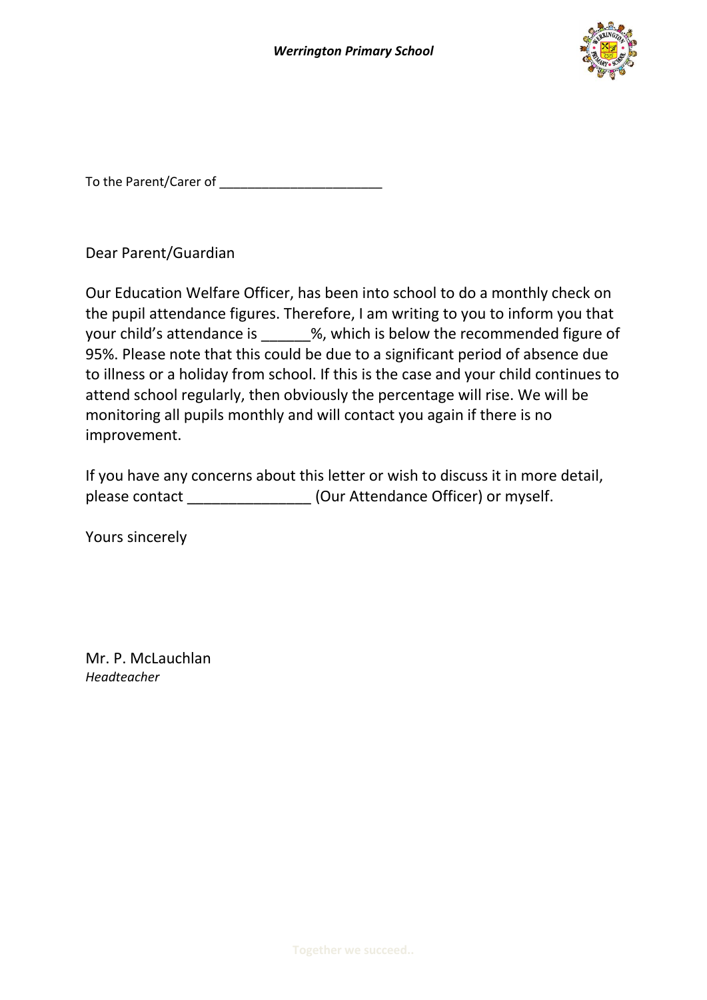

To the Parent/Carer of **Example 20** 

Dear Parent/Guardian

Our Education Welfare Officer, has been into school to do a monthly check on the pupil attendance figures. Therefore, I am writing to you to inform you that your child's attendance is  $\frac{1}{2}$ %, which is below the recommended figure of 95%. Please note that this could be due to a significant period of absence due to illness or a holiday from school. If this is the case and your child continues to attend school regularly, then obviously the percentage will rise. We will be monitoring all pupils monthly and will contact you again if there is no improvement.

|                | If you have any concerns about this letter or wish to discuss it in more detail, |
|----------------|----------------------------------------------------------------------------------|
| please contact | (Our Attendance Officer) or myself.                                              |

Yours sincerely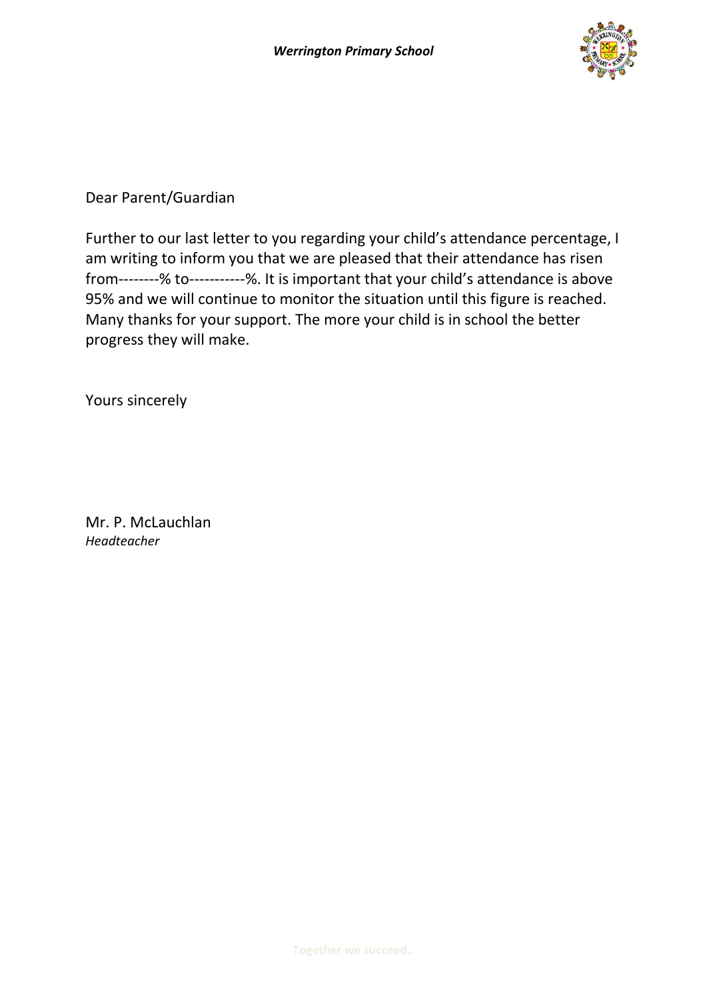

Further to our last letter to you regarding your child's attendance percentage, I am writing to inform you that we are pleased that their attendance has risen from--------% to-----------%. It is important that your child's attendance is above 95% and we will continue to monitor the situation until this figure is reached. Many thanks for your support. The more your child is in school the better progress they will make.

Yours sincerely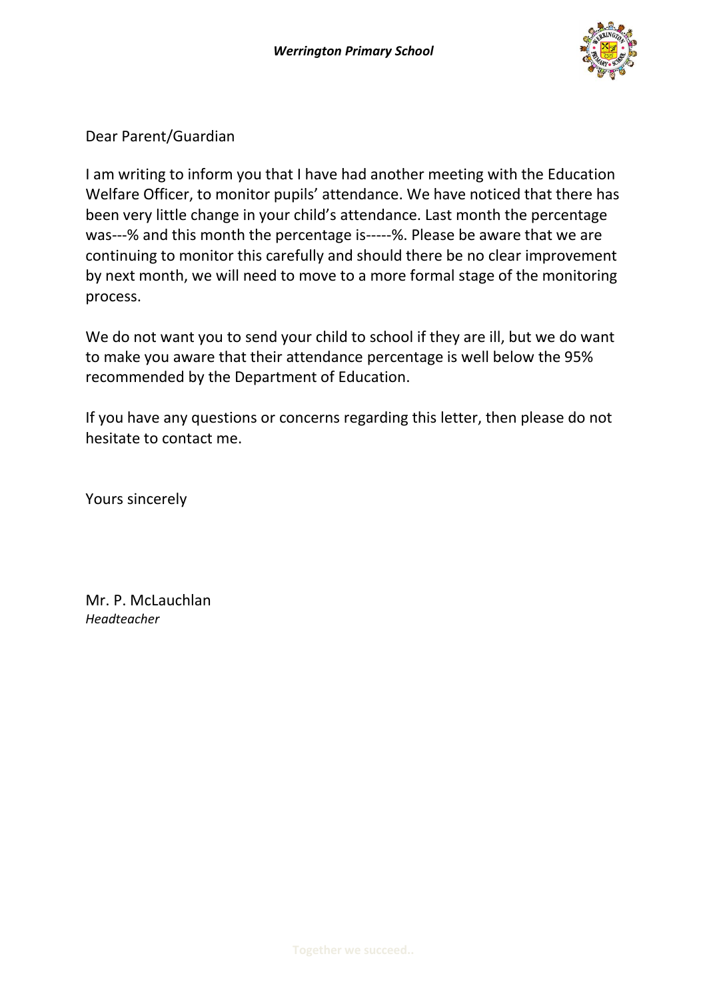

I am writing to inform you that I have had another meeting with the Education Welfare Officer, to monitor pupils' attendance. We have noticed that there has been very little change in your child's attendance. Last month the percentage was---% and this month the percentage is-----%. Please be aware that we are continuing to monitor this carefully and should there be no clear improvement by next month, we will need to move to a more formal stage of the monitoring process.

We do not want you to send your child to school if they are ill, but we do want to make you aware that their attendance percentage is well below the 95% recommended by the Department of Education.

If you have any questions or concerns regarding this letter, then please do not hesitate to contact me.

Yours sincerely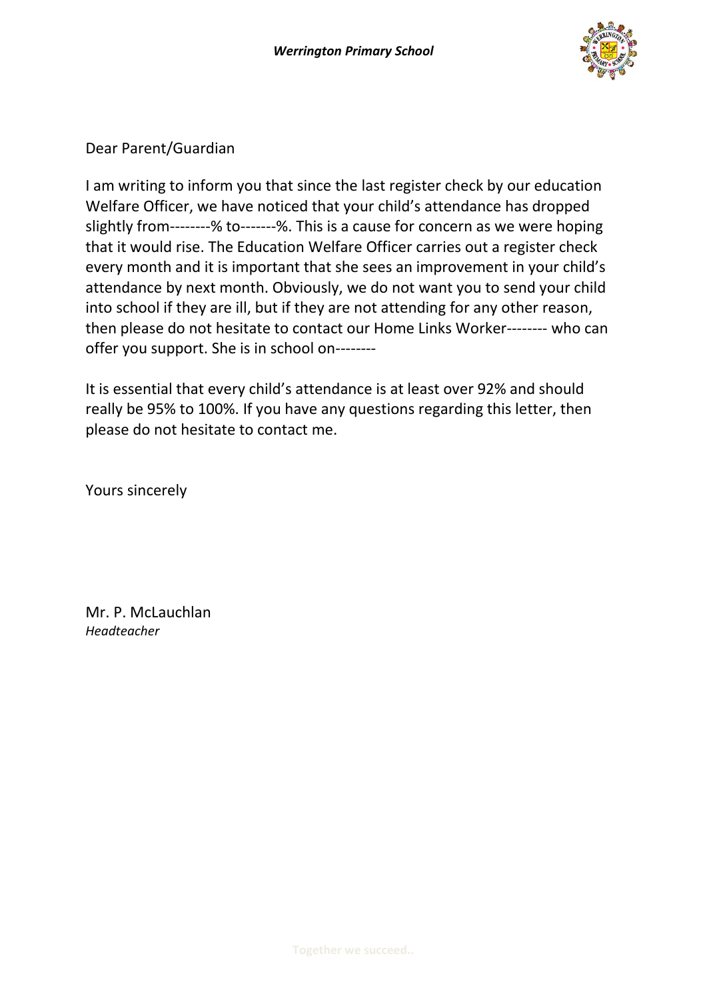

I am writing to inform you that since the last register check by our education Welfare Officer, we have noticed that your child's attendance has dropped slightly from--------% to-------%. This is a cause for concern as we were hoping that it would rise. The Education Welfare Officer carries out a register check every month and it is important that she sees an improvement in your child's attendance by next month. Obviously, we do not want you to send your child into school if they are ill, but if they are not attending for any other reason, then please do not hesitate to contact our Home Links Worker-------- who can offer you support. She is in school on--------

It is essential that every child's attendance is at least over 92% and should really be 95% to 100%. If you have any questions regarding this letter, then please do not hesitate to contact me.

Yours sincerely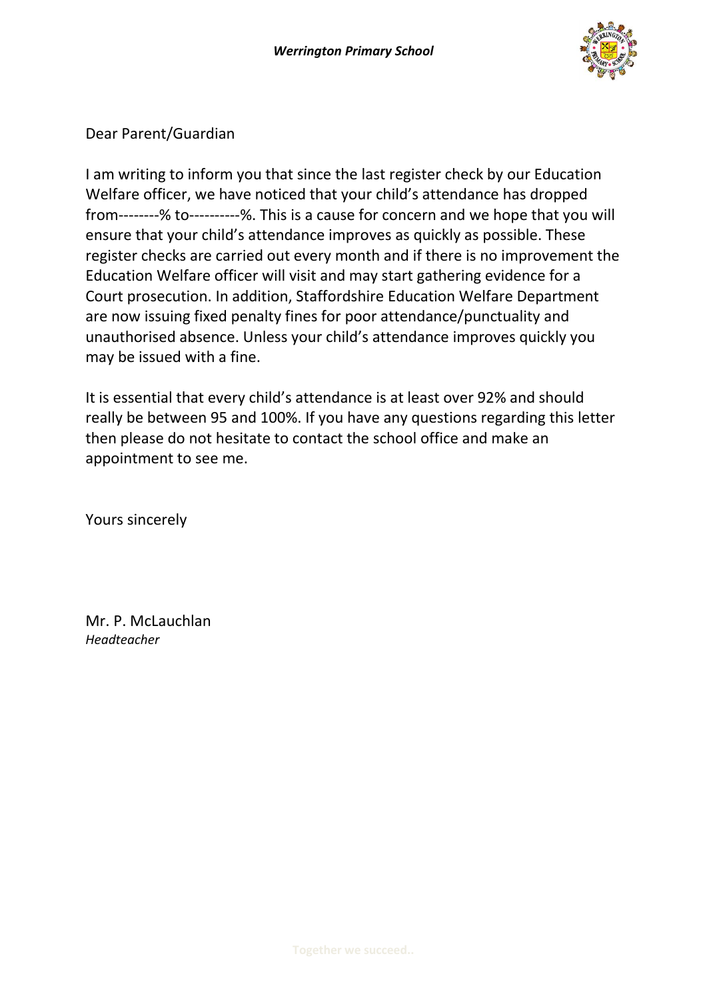

I am writing to inform you that since the last register check by our Education Welfare officer, we have noticed that your child's attendance has dropped from--------% to----------%. This is a cause for concern and we hope that you will ensure that your child's attendance improves as quickly as possible. These register checks are carried out every month and if there is no improvement the Education Welfare officer will visit and may start gathering evidence for a Court prosecution. In addition, Staffordshire Education Welfare Department are now issuing fixed penalty fines for poor attendance/punctuality and unauthorised absence. Unless your child's attendance improves quickly you may be issued with a fine.

It is essential that every child's attendance is at least over 92% and should really be between 95 and 100%. If you have any questions regarding this letter then please do not hesitate to contact the school office and make an appointment to see me.

Yours sincerely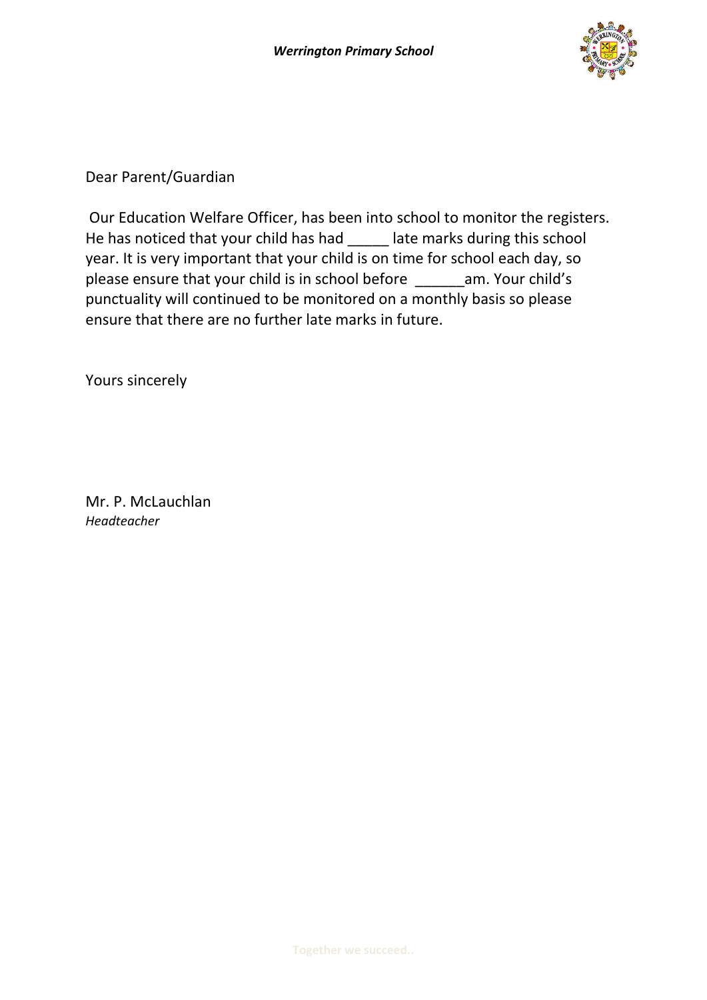

Our Education Welfare Officer, has been into school to monitor the registers. He has noticed that your child has had late marks during this school year. It is very important that your child is on time for school each day, so please ensure that your child is in school before \_\_\_\_\_\_am. Your child's punctuality will continued to be monitored on a monthly basis so please ensure that there are no further late marks in future.

Yours sincerely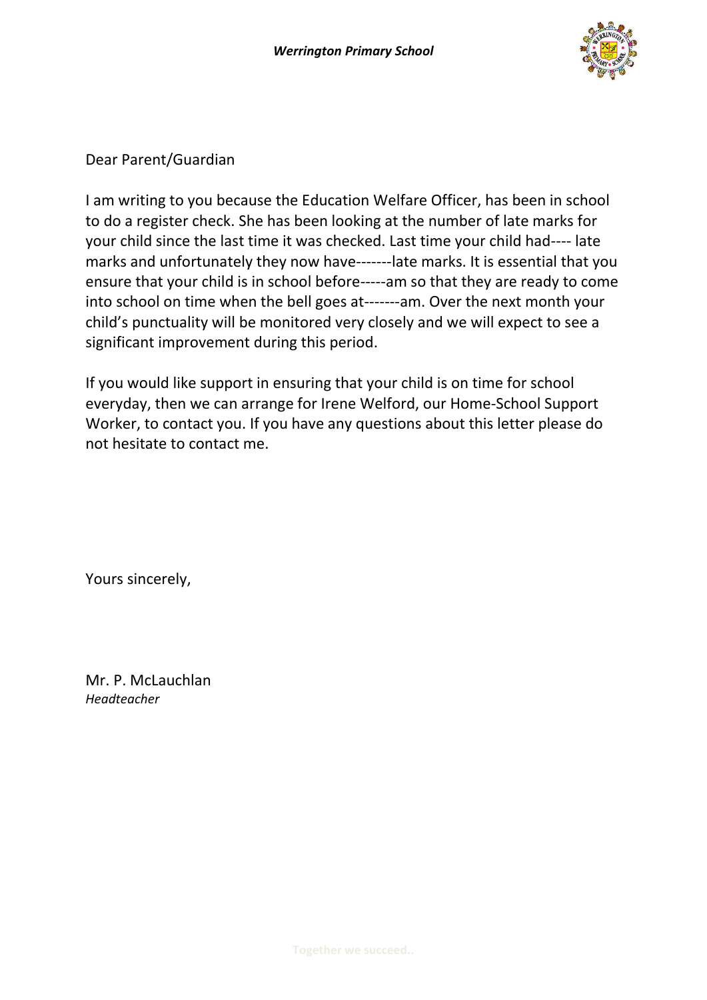

I am writing to you because the Education Welfare Officer, has been in school to do a register check. She has been looking at the number of late marks for your child since the last time it was checked. Last time your child had---- late marks and unfortunately they now have-------late marks. It is essential that you ensure that your child is in school before-----am so that they are ready to come into school on time when the bell goes at-------am. Over the next month your child's punctuality will be monitored very closely and we will expect to see a significant improvement during this period.

If you would like support in ensuring that your child is on time for school everyday, then we can arrange for Irene Welford, our Home-School Support Worker, to contact you. If you have any questions about this letter please do not hesitate to contact me.

Yours sincerely,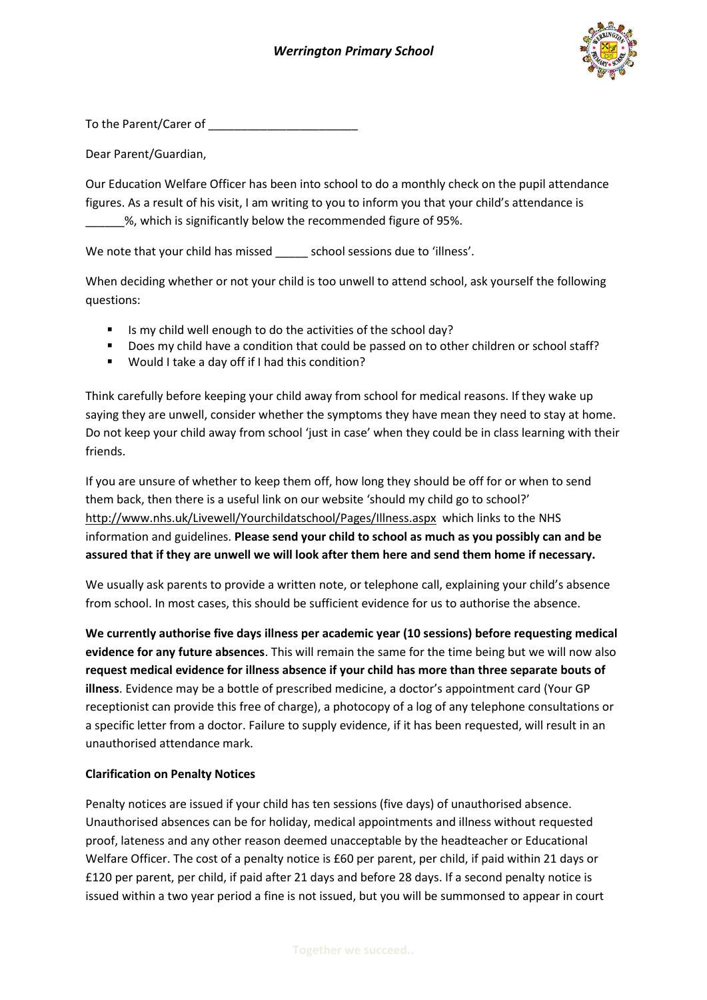

To the Parent/Carer of **Example 20** 

Dear Parent/Guardian,

Our Education Welfare Officer has been into school to do a monthly check on the pupil attendance figures. As a result of his visit, I am writing to you to inform you that your child's attendance is \_\_\_\_\_\_%, which is significantly below the recommended figure of 95%.

We note that your child has missed \_\_\_\_\_\_ school sessions due to 'illness'.

When deciding whether or not your child is too unwell to attend school, ask yourself the following questions:

- If Is my child well enough to do the activities of the school day?
- Does my child have a condition that could be passed on to other children or school staff?
- Would I take a day off if I had this condition?

Think carefully before keeping your child away from school for medical reasons. If they wake up saying they are unwell, consider whether the symptoms they have mean they need to stay at home. Do not keep your child away from school 'just in case' when they could be in class learning with their friends.

If you are unsure of whether to keep them off, how long they should be off for or when to send them back, then there is a useful link on our website 'should my child go to school?' http://www.nhs.uk/Livewell/Yourchildatschool/Pages/Illness.aspx which links to the NHS information and guidelines. **Please send your child to school as much as you possibly can and be assured that if they are unwell we will look after them here and send them home if necessary.**

We usually ask parents to provide a written note, or telephone call, explaining your child's absence from school. In most cases, this should be sufficient evidence for us to authorise the absence.

**We currently authorise five days illness per academic year (10 sessions) before requesting medical evidence for any future absences**. This will remain the same for the time being but we will now also **request medical evidence for illness absence if your child has more than three separate bouts of illness**. Evidence may be a bottle of prescribed medicine, a doctor's appointment card (Your GP receptionist can provide this free of charge), a photocopy of a log of any telephone consultations or a specific letter from a doctor. Failure to supply evidence, if it has been requested, will result in an unauthorised attendance mark.

#### **Clarification on Penalty Notices**

Penalty notices are issued if your child has ten sessions (five days) of unauthorised absence. Unauthorised absences can be for holiday, medical appointments and illness without requested proof, lateness and any other reason deemed unacceptable by the headteacher or Educational Welfare Officer. The cost of a penalty notice is £60 per parent, per child, if paid within 21 days or £120 per parent, per child, if paid after 21 days and before 28 days. If a second penalty notice is issued within a two year period a fine is not issued, but you will be summonsed to appear in court